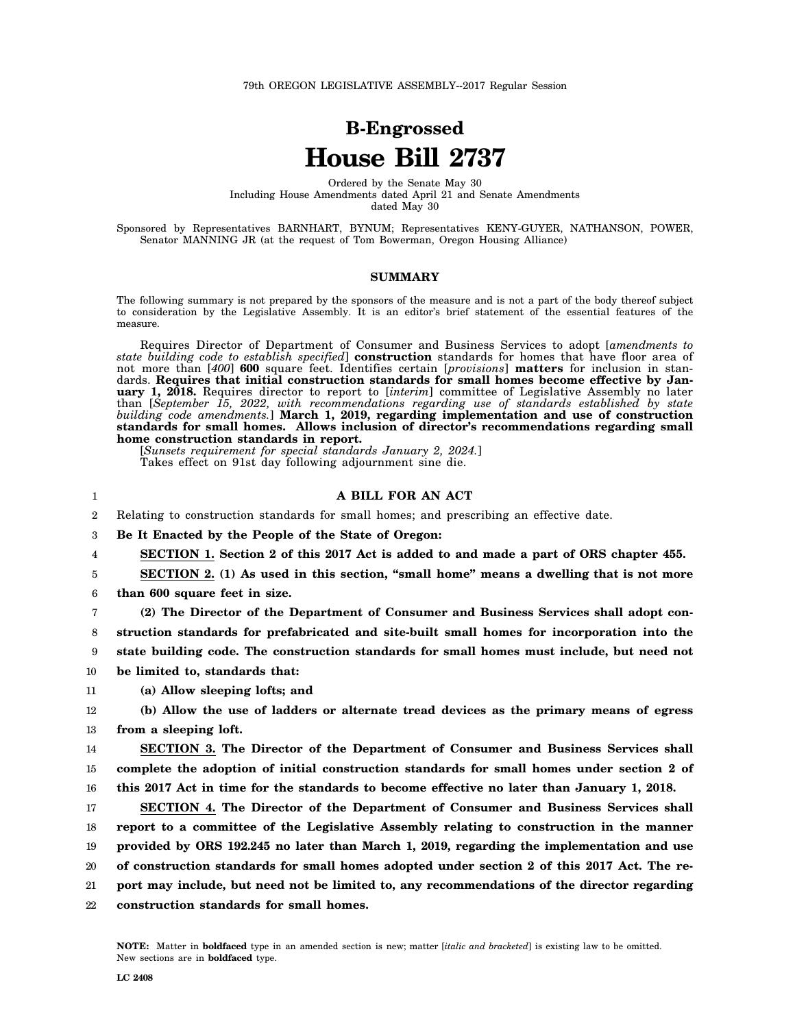## **B-Engrossed House Bill 2737**

Ordered by the Senate May 30 Including House Amendments dated April 21 and Senate Amendments dated May 30

Sponsored by Representatives BARNHART, BYNUM; Representatives KENY-GUYER, NATHANSON, POWER, Senator MANNING JR (at the request of Tom Bowerman, Oregon Housing Alliance)

## **SUMMARY**

The following summary is not prepared by the sponsors of the measure and is not a part of the body thereof subject to consideration by the Legislative Assembly. It is an editor's brief statement of the essential features of the measure.

Requires Director of Department of Consumer and Business Services to adopt [*amendments to state building code to establish specified*] **construction** standards for homes that have floor area of not more than [*400*] **600** square feet. Identifies certain [*provisions*] **matters** for inclusion in standards. **Requires that initial construction standards for small homes become effective by January 1, 2018.** Requires director to report to [*interim*] committee of Legislative Assembly no later than [*September 15, 2022, with recommendations regarding use of standards established by state building code amendments.*] **March 1, 2019, regarding implementation and use of construction standards for small homes. Allows inclusion of director's recommendations regarding small home construction standards in report.**

[*Sunsets requirement for special standards January 2, 2024.*] Takes effect on 91st day following adjournment sine die.

## **A BILL FOR AN ACT**

2 Relating to construction standards for small homes; and prescribing an effective date.

3 **Be It Enacted by the People of the State of Oregon:**

4 **SECTION 1. Section 2 of this 2017 Act is added to and made a part of ORS chapter 455.**

5 **SECTION 2. (1) As used in this section, "small home" means a dwelling that is not more**

6 **than 600 square feet in size.**

1

7 8 9 **(2) The Director of the Department of Consumer and Business Services shall adopt construction standards for prefabricated and site-built small homes for incorporation into the state building code. The construction standards for small homes must include, but need not**

10 **be limited to, standards that:**

11 **(a) Allow sleeping lofts; and**

12 13 **(b) Allow the use of ladders or alternate tread devices as the primary means of egress from a sleeping loft.**

14 15 16 **SECTION 3. The Director of the Department of Consumer and Business Services shall complete the adoption of initial construction standards for small homes under section 2 of this 2017 Act in time for the standards to become effective no later than January 1, 2018.**

17 18 19 20 21 22 **SECTION 4. The Director of the Department of Consumer and Business Services shall report to a committee of the Legislative Assembly relating to construction in the manner provided by ORS 192.245 no later than March 1, 2019, regarding the implementation and use of construction standards for small homes adopted under section 2 of this 2017 Act. The report may include, but need not be limited to, any recommendations of the director regarding construction standards for small homes.**